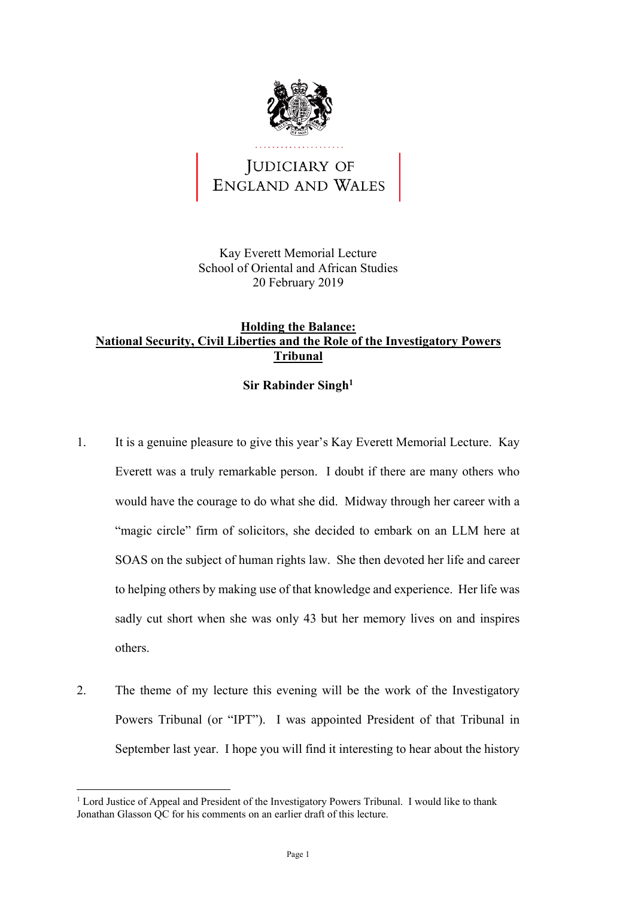

## JUDICIARY OF ENGLAND AND WALES

Kay Everett Memorial Lecture School of Oriental and African Studies 20 February 2019

## **Holding the Balance: National Security, Civil Liberties and the Role of the Investigatory Powers Tribunal**

## **Sir Rabinder Singh1**

- Everett was a truly remarkable person. I doubt if there are many others who would have the courage to do what she did. Midway through her career with a 1. It is a genuine pleasure to give this year's Kay Everett Memorial Lecture. Kay "magic circle" firm of solicitors, she decided to embark on an LLM here at SOAS on the subject of human rights law. She then devoted her life and career to helping others by making use of that knowledge and experience. Her life was sadly cut short when she was only 43 but her memory lives on and inspires others.
- Powers Tribunal (or "IPT"). I was appointed President of that Tribunal in September last year. I hope you will find it interesting to hear about the history 2. The theme of my lecture this evening will be the work of the Investigatory

<sup>&</sup>lt;u>.</u> Jonathan Glasson QC for his comments on an earlier draft of this lecture. <sup>1</sup> Lord Justice of Appeal and President of the Investigatory Powers Tribunal. I would like to thank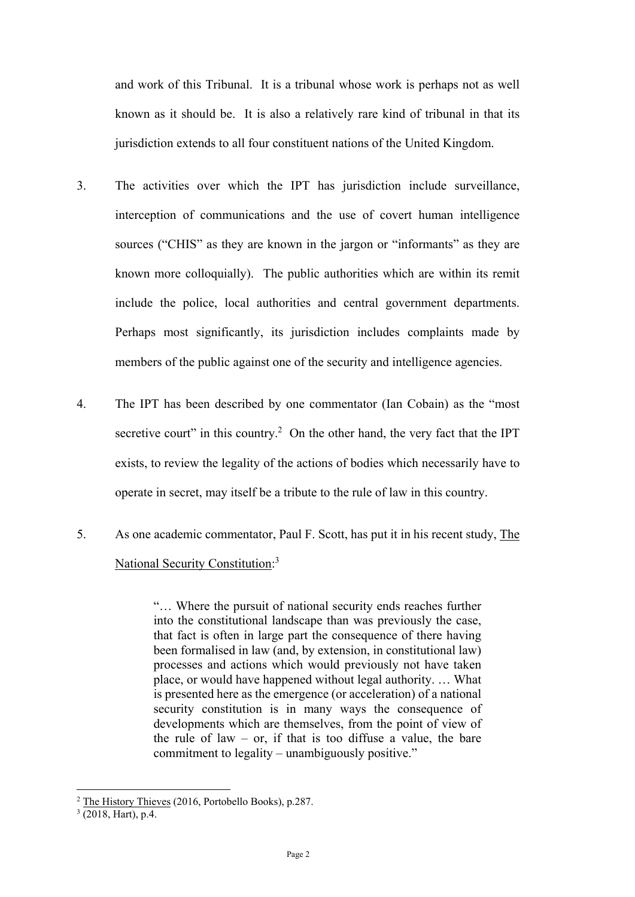and work of this Tribunal. It is a tribunal whose work is perhaps not as well known as it should be. It is also a relatively rare kind of tribunal in that its jurisdiction extends to all four constituent nations of the United Kingdom.

- sources ("CHIS" as they are known in the jargon or "informants" as they are 3. The activities over which the IPT has jurisdiction include surveillance, interception of communications and the use of covert human intelligence known more colloquially). The public authorities which are within its remit include the police, local authorities and central government departments. Perhaps most significantly, its jurisdiction includes complaints made by members of the public against one of the security and intelligence agencies.
- secretive court" in this country.<sup>2</sup> On the other hand, the very fact that the IPT 4. The IPT has been described by one commentator (Ian Cobain) as the "most exists, to review the legality of the actions of bodies which necessarily have to operate in secret, may itself be a tribute to the rule of law in this country.
- 5. As one academic commentator, Paul F. Scott, has put it in his recent study, The National Security Constitution:<sup>3</sup>

 place, or would have happened without legal authority. … What "… Where the pursuit of national security ends reaches further into the constitutional landscape than was previously the case, that fact is often in large part the consequence of there having been formalised in law (and, by extension, in constitutional law) processes and actions which would previously not have taken is presented here as the emergence (or acceleration) of a national security constitution is in many ways the consequence of developments which are themselves, from the point of view of the rule of law – or, if that is too diffuse a value, the bare commitment to legality – unambiguously positive."

<u>.</u>

 $2$  The History Thieves (2016, Portobello Books), p.287.

 $3$  (2018, Hart), p.4.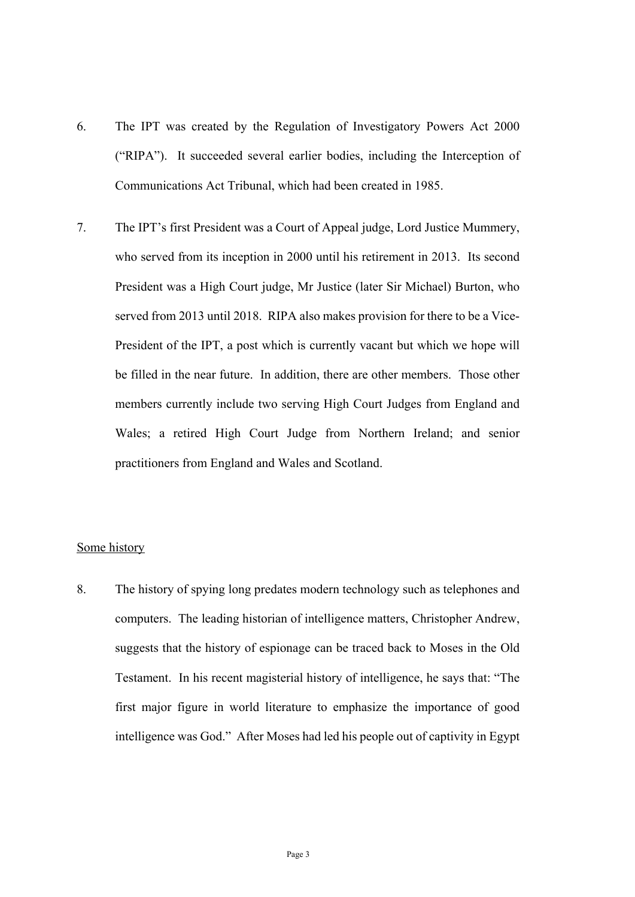- 6. The IPT was created by the Regulation of Investigatory Powers Act 2000 ("RIPA"). It succeeded several earlier bodies, including the Interception of Communications Act Tribunal, which had been created in 1985.
- Wales; a retired High Court Judge from Northern Ireland; and senior 7. The IPT's first President was a Court of Appeal judge, Lord Justice Mummery, who served from its inception in 2000 until his retirement in 2013. Its second President was a High Court judge, Mr Justice (later Sir Michael) Burton, who served from 2013 until 2018. RIPA also makes provision for there to be a Vice-President of the IPT, a post which is currently vacant but which we hope will be filled in the near future. In addition, there are other members. Those other members currently include two serving High Court Judges from England and practitioners from England and Wales and Scotland.

## Some history

 intelligence was God." After Moses had led his people out of captivity in Egypt 8. The history of spying long predates modern technology such as telephones and computers. The leading historian of intelligence matters, Christopher Andrew, suggests that the history of espionage can be traced back to Moses in the Old Testament. In his recent magisterial history of intelligence, he says that: "The first major figure in world literature to emphasize the importance of good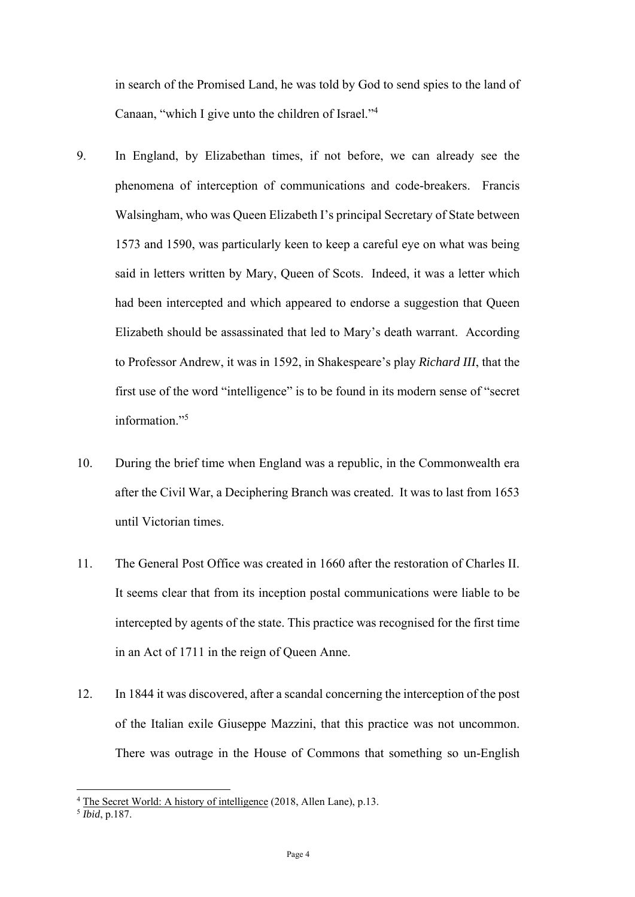in search of the Promised Land, he was told by God to send spies to the land of Canaan, "which I give unto the children of Israel."<sup>4</sup>

- 9. In England, by Elizabethan times, if not before, we can already see the phenomena of interception of communications and code-breakers. Francis Walsingham, who was Queen Elizabeth I's principal Secretary of State between 1573 and 1590, was particularly keen to keep a careful eye on what was being said in letters written by Mary, Queen of Scots. Indeed, it was a letter which had been intercepted and which appeared to endorse a suggestion that Queen Elizabeth should be assassinated that led to Mary's death warrant. According to Professor Andrew, it was in 1592, in Shakespeare's play *Richard III*, that the first use of the word "intelligence" is to be found in its modern sense of "secret information."5
- 10. During the brief time when England was a republic, in the Commonwealth era after the Civil War, a Deciphering Branch was created. It was to last from 1653 until Victorian times.
- It seems clear that from its inception postal communications were liable to be 11. The General Post Office was created in 1660 after the restoration of Charles II. intercepted by agents of the state. This practice was recognised for the first time in an Act of 1711 in the reign of Queen Anne.
- of the Italian exile Giuseppe Mazzini, that this practice was not uncommon. 12. In 1844 it was discovered, after a scandal concerning the interception of the post There was outrage in the House of Commons that something so un-English

<sup>&</sup>lt;sup>4</sup> The Secret World: A history of intelligence (2018, Allen Lane), p.13. <sup>5</sup> *Ibid*, p.187.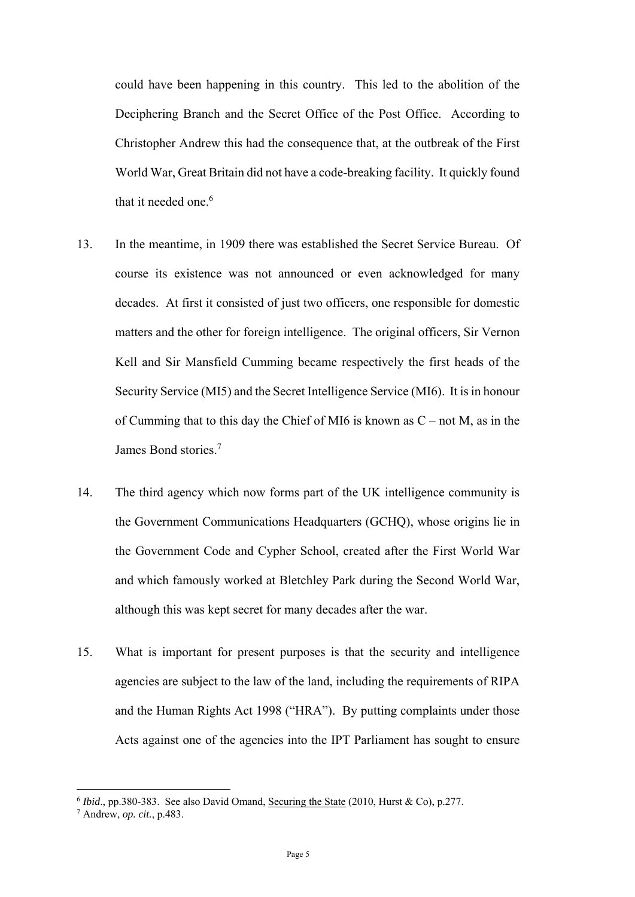World War, Great Britain did not have a code-breaking facility. It quickly found could have been happening in this country. This led to the abolition of the Deciphering Branch and the Secret Office of the Post Office. According to Christopher Andrew this had the consequence that, at the outbreak of the First that it needed one.<sup>6</sup>

- 13. In the meantime, in 1909 there was established the Secret Service Bureau. Of matters and the other for foreign intelligence. The original officers, Sir Vernon of Cumming that to this day the Chief of MI6 is known as  $C$  – not M, as in the course its existence was not announced or even acknowledged for many decades. At first it consisted of just two officers, one responsible for domestic Kell and Sir Mansfield Cumming became respectively the first heads of the Security Service (MI5) and the Secret Intelligence Service (MI6). It is in honour James Bond stories.<sup>7</sup>
- 14. The third agency which now forms part of the UK intelligence community is the Government Communications Headquarters (GCHQ), whose origins lie in the Government Code and Cypher School, created after the First World War and which famously worked at Bletchley Park during the Second World War, although this was kept secret for many decades after the war.
- 15. What is important for present purposes is that the security and intelligence agencies are subject to the law of the land, including the requirements of RIPA and the Human Rights Act 1998 ("HRA"). By putting complaints under those Acts against one of the agencies into the IPT Parliament has sought to ensure

<u>.</u>

 $6$ *Ibid.*, pp.380-383. See also David Omand, Securing the State (2010, Hurst & Co), p.277.

Andrew, *op. cit.*, p.483.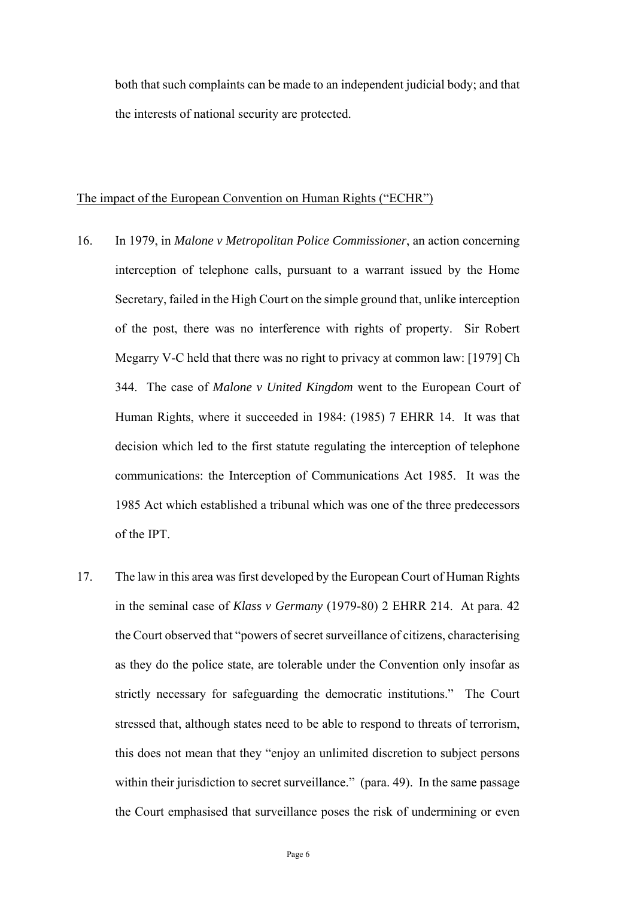both that such complaints can be made to an independent judicial body; and that the interests of national security are protected.

#### The impact of the European Convention on Human Rights ("ECHR")

- interception of telephone calls, pursuant to a warrant issued by the Home of the post, there was no interference with rights of property. Sir Robert Human Rights, where it succeeded in 1984: (1985) 7 EHRR 14. It was that 16. In 1979, in *Malone v Metropolitan Police Commissioner*, an action concerning Secretary, failed in the High Court on the simple ground that, unlike interception Megarry V-C held that there was no right to privacy at common law: [1979] Ch 344. The case of *Malone v United Kingdom* went to the European Court of decision which led to the first statute regulating the interception of telephone communications: the Interception of Communications Act 1985. It was the 1985 Act which established a tribunal which was one of the three predecessors of the IPT.
- within their jurisdiction to secret surveillance." (para. 49). In the same passage 17. The law in this area was first developed by the European Court of Human Rights in the seminal case of *Klass v Germany* (1979-80) 2 EHRR 214. At para. 42 the Court observed that "powers of secret surveillance of citizens, characterising as they do the police state, are tolerable under the Convention only insofar as strictly necessary for safeguarding the democratic institutions." The Court stressed that, although states need to be able to respond to threats of terrorism, this does not mean that they "enjoy an unlimited discretion to subject persons the Court emphasised that surveillance poses the risk of undermining or even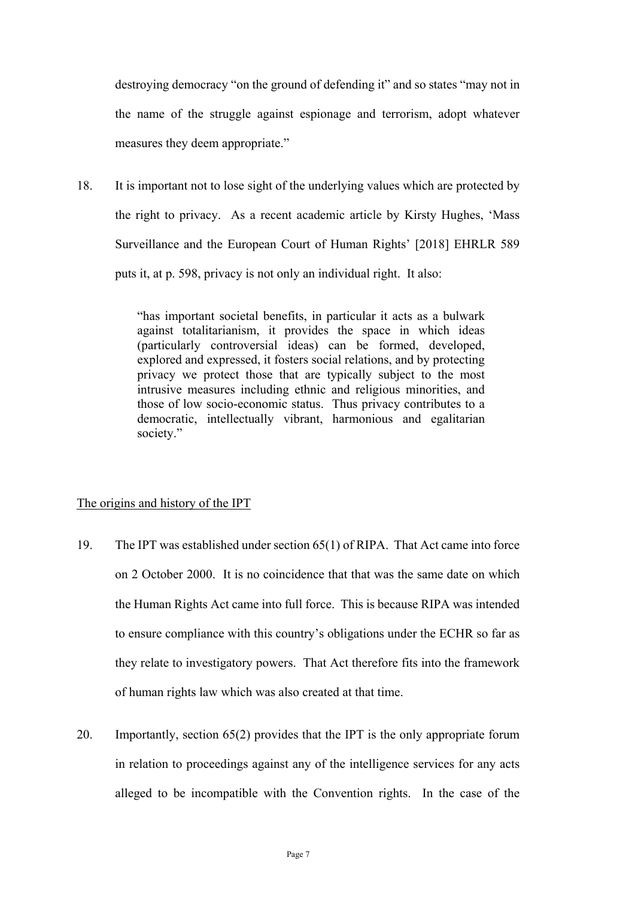destroying democracy "on the ground of defending it" and so states "may not in the name of the struggle against espionage and terrorism, adopt whatever measures they deem appropriate."

18. It is important not to lose sight of the underlying values which are protected by the right to privacy. As a recent academic article by Kirsty Hughes, 'Mass Surveillance and the European Court of Human Rights' [2018] EHRLR 589 puts it, at p. 598, privacy is not only an individual right. It also:

> against totalitarianism, it provides the space in which ideas "has important societal benefits, in particular it acts as a bulwark (particularly controversial ideas) can be formed, developed, explored and expressed, it fosters social relations, and by protecting privacy we protect those that are typically subject to the most intrusive measures including ethnic and religious minorities, and those of low socio-economic status. Thus privacy contributes to a democratic, intellectually vibrant, harmonious and egalitarian society."

#### The origins and history of the IPT

- 19. The IPT was established under section 65(1) of RIPA. That Act came into force on 2 October 2000. It is no coincidence that that was the same date on which the Human Rights Act came into full force. This is because RIPA was intended to ensure compliance with this country's obligations under the ECHR so far as they relate to investigatory powers. That Act therefore fits into the framework of human rights law which was also created at that time.
- in relation to proceedings against any of the intelligence services for any acts 20. Importantly, section 65(2) provides that the IPT is the only appropriate forum alleged to be incompatible with the Convention rights. In the case of the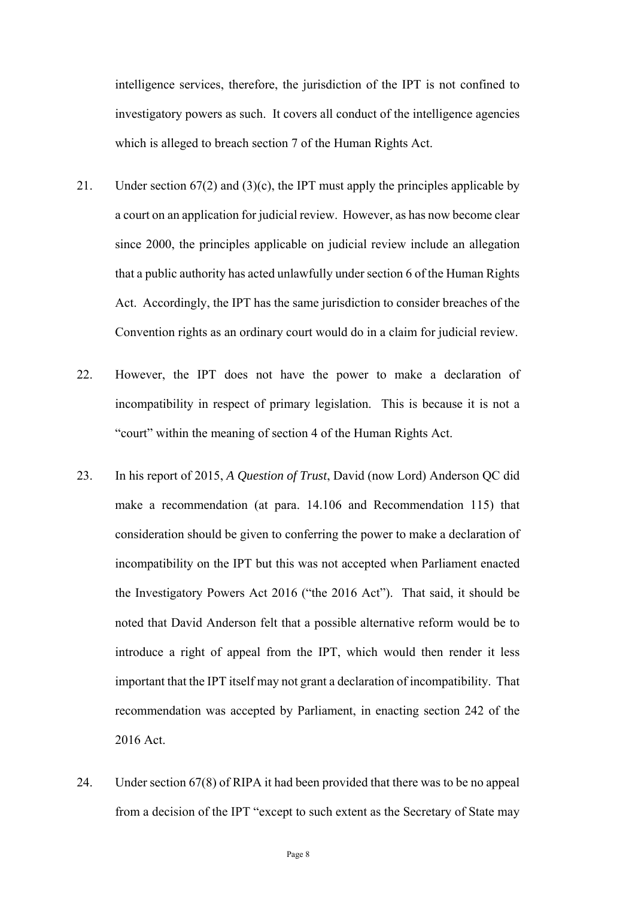intelligence services, therefore, the jurisdiction of the IPT is not confined to investigatory powers as such. It covers all conduct of the intelligence agencies which is alleged to breach section 7 of the Human Rights Act.

- a court on an application for judicial review. However, as has now become clear 21. Under section  $67(2)$  and  $(3)(c)$ , the IPT must apply the principles applicable by since 2000, the principles applicable on judicial review include an allegation that a public authority has acted unlawfully under section 6 of the Human Rights Act. Accordingly, the IPT has the same jurisdiction to consider breaches of the Convention rights as an ordinary court would do in a claim for judicial review.
- incompatibility in respect of primary legislation. This is because it is not a 22. However, the IPT does not have the power to make a declaration of "court" within the meaning of section 4 of the Human Rights Act.
- 23. In his report of 2015, *A Question of Trust*, David (now Lord) Anderson QC did make a recommendation (at para. 14.106 and Recommendation 115) that consideration should be given to conferring the power to make a declaration of incompatibility on the IPT but this was not accepted when Parliament enacted the Investigatory Powers Act 2016 ("the 2016 Act"). That said, it should be noted that David Anderson felt that a possible alternative reform would be to introduce a right of appeal from the IPT, which would then render it less important that the IPT itself may not grant a declaration of incompatibility. That recommendation was accepted by Parliament, in enacting section 242 of the 2016 Act.
- 24. Under section 67(8) of RIPA it had been provided that there was to be no appeal from a decision of the IPT "except to such extent as the Secretary of State may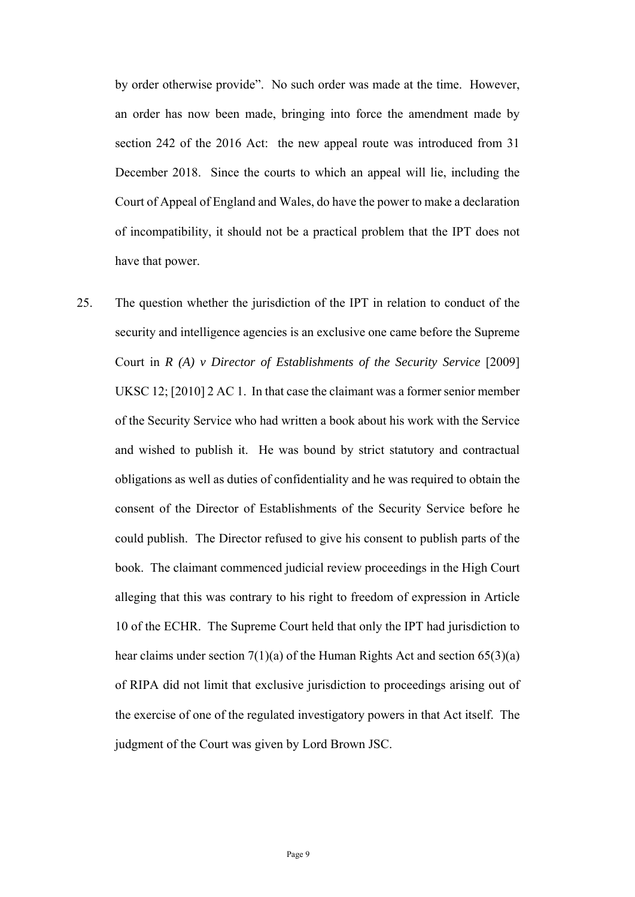by order otherwise provide". No such order was made at the time. However, Court of Appeal of England and Wales, do have the power to make a declaration an order has now been made, bringing into force the amendment made by section 242 of the 2016 Act: the new appeal route was introduced from 31 December 2018. Since the courts to which an appeal will lie, including the of incompatibility, it should not be a practical problem that the IPT does not have that power.

 security and intelligence agencies is an exclusive one came before the Supreme Court in *R (A) v Director of Establishments of the Security Service* [2009] UKSC 12; [2010] 2 AC 1. In that case the claimant was a former senior member obligations as well as duties of confidentiality and he was required to obtain the consent of the Director of Establishments of the Security Service before he 25. The question whether the jurisdiction of the IPT in relation to conduct of the of the Security Service who had written a book about his work with the Service and wished to publish it. He was bound by strict statutory and contractual could publish. The Director refused to give his consent to publish parts of the book. The claimant commenced judicial review proceedings in the High Court alleging that this was contrary to his right to freedom of expression in Article 10 of the ECHR. The Supreme Court held that only the IPT had jurisdiction to hear claims under section  $7(1)(a)$  of the Human Rights Act and section  $65(3)(a)$ of RIPA did not limit that exclusive jurisdiction to proceedings arising out of the exercise of one of the regulated investigatory powers in that Act itself. The judgment of the Court was given by Lord Brown JSC.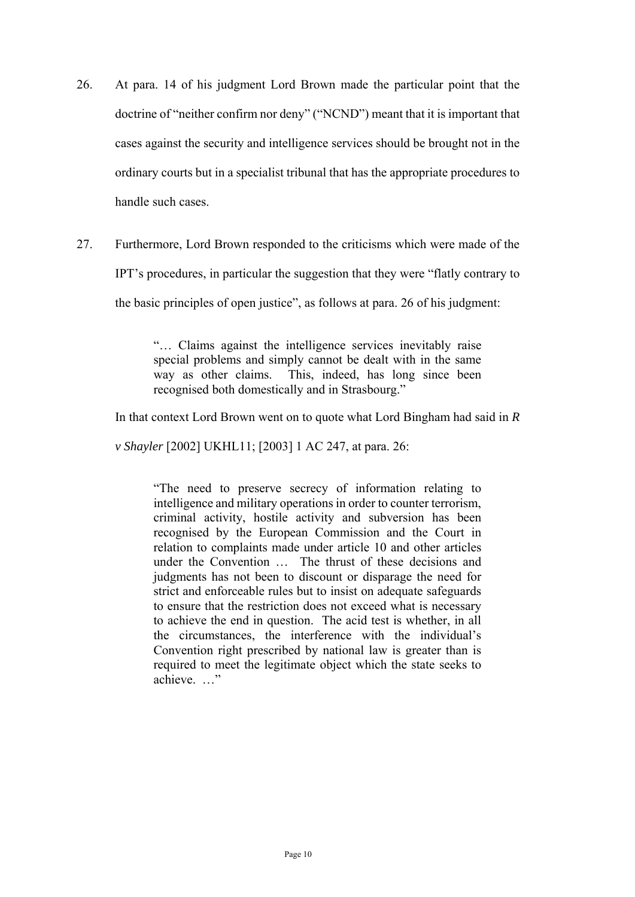- 26. At para. 14 of his judgment Lord Brown made the particular point that the doctrine of "neither confirm nor deny" ("NCND") meant that it is important that cases against the security and intelligence services should be brought not in the ordinary courts but in a specialist tribunal that has the appropriate procedures to handle such cases.
- 27. Furthermore, Lord Brown responded to the criticisms which were made of the

IPT's procedures, in particular the suggestion that they were "flatly contrary to

the basic principles of open justice", as follows at para. 26 of his judgment:

 "… Claims against the intelligence services inevitably raise special problems and simply cannot be dealt with in the same way as other claims. This, indeed, has long since been recognised both domestically and in Strasbourg."

In that context Lord Brown went on to quote what Lord Bingham had said in *R* 

*v Shayler* [2002] UKHL11; [2003] 1 AC 247, at para. 26:

 "The need to preserve secrecy of information relating to intelligence and military operations in order to counter terrorism, criminal activity, hostile activity and subversion has been recognised by the European Commission and the Court in relation to complaints made under article 10 and other articles under the Convention … The thrust of these decisions and judgments has not been to discount or disparage the need for strict and enforceable rules but to insist on adequate safeguards to ensure that the restriction does not exceed what is necessary to achieve the end in question. The acid test is whether, in all the circumstances, the interference with the individual's Convention right prescribed by national law is greater than is required to meet the legitimate object which the state seeks to achieve. …"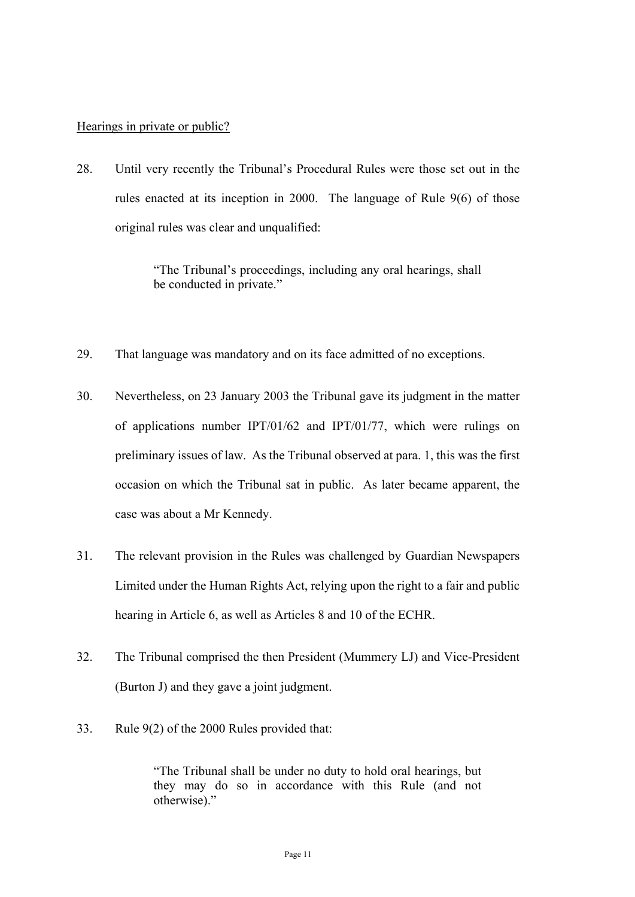#### Hearings in private or public?

28. Until very recently the Tribunal's Procedural Rules were those set out in the rules enacted at its inception in 2000. The language of Rule 9(6) of those original rules was clear and unqualified:

> "The Tribunal's proceedings, including any oral hearings, shall be conducted in private."

- 29. That language was mandatory and on its face admitted of no exceptions.
- preliminary issues of law. As the Tribunal observed at para. 1, this was the first occasion on which the Tribunal sat in public. As later became apparent, the 30. Nevertheless, on 23 January 2003 the Tribunal gave its judgment in the matter of applications number IPT/01/62 and IPT/01/77, which were rulings on case was about a Mr Kennedy.
- 31. The relevant provision in the Rules was challenged by Guardian Newspapers Limited under the Human Rights Act, relying upon the right to a fair and public hearing in Article 6, as well as Articles 8 and 10 of the ECHR.
- 32. The Tribunal comprised the then President (Mummery LJ) and Vice-President (Burton J) and they gave a joint judgment.
- 33. Rule 9(2) of the 2000 Rules provided that:

 they may do so in accordance with this Rule (and not "The Tribunal shall be under no duty to hold oral hearings, but otherwise)."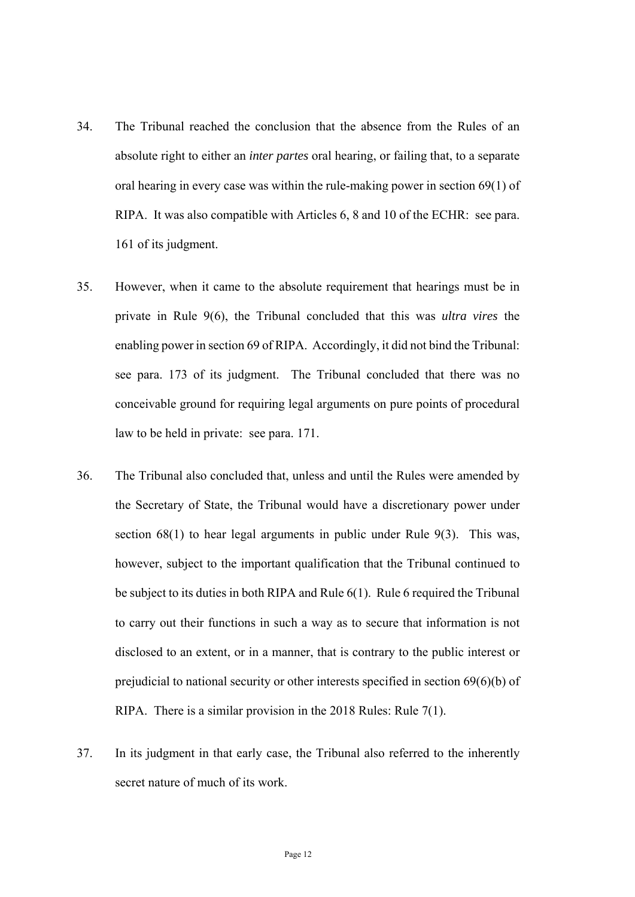- RIPA. It was also compatible with Articles 6, 8 and 10 of the ECHR: see para. 34. The Tribunal reached the conclusion that the absence from the Rules of an absolute right to either an *inter partes* oral hearing, or failing that, to a separate oral hearing in every case was within the rule-making power in section 69(1) of 161 of its judgment.
- enabling power in section 69 of RIPA. Accordingly, it did not bind the Tribunal: 35. However, when it came to the absolute requirement that hearings must be in private in Rule 9(6), the Tribunal concluded that this was *ultra vires* the see para. 173 of its judgment. The Tribunal concluded that there was no conceivable ground for requiring legal arguments on pure points of procedural law to be held in private: see para. 171.
- 36. The Tribunal also concluded that, unless and until the Rules were amended by the Secretary of State, the Tribunal would have a discretionary power under section 68(1) to hear legal arguments in public under Rule 9(3). This was, however, subject to the important qualification that the Tribunal continued to be subject to its duties in both RIPA and Rule 6(1). Rule 6 required the Tribunal to carry out their functions in such a way as to secure that information is not disclosed to an extent, or in a manner, that is contrary to the public interest or prejudicial to national security or other interests specified in section 69(6)(b) of RIPA. There is a similar provision in the 2018 Rules: Rule 7(1).
- 37. In its judgment in that early case, the Tribunal also referred to the inherently secret nature of much of its work.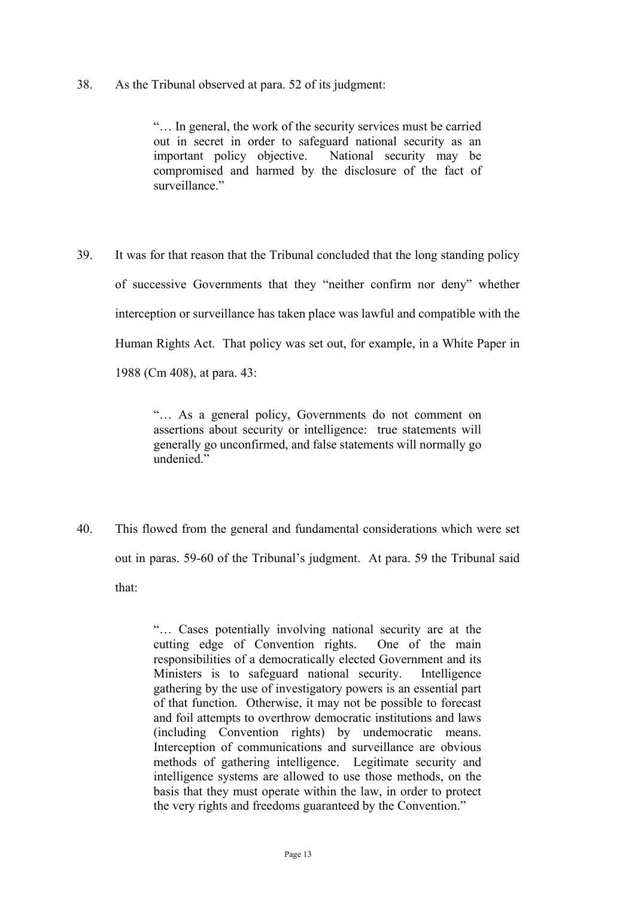#### 38. As the Tribunal observed at para. 52 of its judgment:

 important policy objective. National security may be "… In general, the work of the security services must be carried out in secret in order to safeguard national security as an compromised and harmed by the disclosure of the fact of surveillance."

 39. It was for that reason that the Tribunal concluded that the long standing policy of successive Governments that they "neither confirm nor deny" whether interception or surveillance has taken place was lawful and compatible with the Human Rights Act. That policy was set out, for example, in a White Paper in 1988 (Cm 408), at para. 43:

> "… As a general policy, Governments do not comment on assertions about security or intelligence: true statements will generally go unconfirmed, and false statements will normally go undenied."

40. This flowed from the general and fundamental considerations which were set out in paras. 59-60 of the Tribunal's judgment. At para. 59 the Tribunal said that:

> methods of gathering intelligence. Legitimate security and "… Cases potentially involving national security are at the cutting edge of Convention rights. One of the main responsibilities of a democratically elected Government and its Ministers is to safeguard national security. Intelligence gathering by the use of investigatory powers is an essential part of that function. Otherwise, it may not be possible to forecast and foil attempts to overthrow democratic institutions and laws (including Convention rights) by undemocratic means. Interception of communications and surveillance are obvious intelligence systems are allowed to use those methods, on the basis that they must operate within the law, in order to protect the very rights and freedoms guaranteed by the Convention."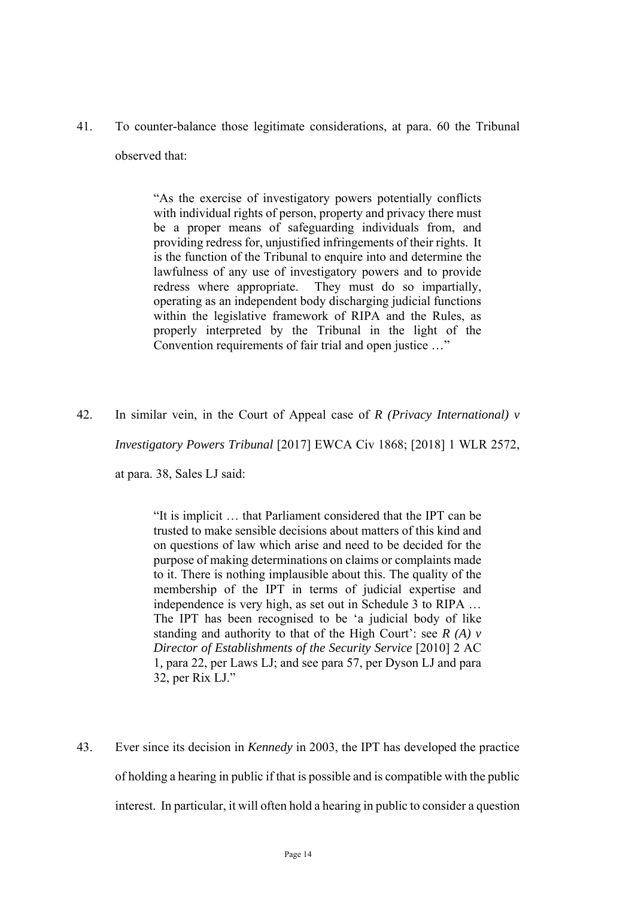41. To counter-balance those legitimate considerations, at para. 60 the Tribunal observed that:

> within the legislative framework of RIPA and the Rules, as "As the exercise of investigatory powers potentially conflicts with individual rights of person, property and privacy there must be a proper means of safeguarding individuals from, and providing redress for, unjustified infringements of their rights. It is the function of the Tribunal to enquire into and determine the lawfulness of any use of investigatory powers and to provide redress where appropriate. They must do so impartially, operating as an independent body discharging judicial functions properly interpreted by the Tribunal in the light of the Convention requirements of fair trial and open justice …"

42. In similar vein, in the Court of Appeal case of *R (Privacy International) v Investigatory Powers Tribunal* [2017] EWCA Civ 1868; [2018] 1 WLR 2572, at para. 38, Sales LJ said:

> "It is implicit … that Parliament considered that the IPT can be trusted to make sensible decisions about matters of this kind and on questions of law which arise and need to be decided for the purpose of making determinations on claims or complaints made to it. There is nothing implausible about this. The quality of the membership of the IPT in terms of judicial expertise and independence is very high, as set out in Schedule 3 to RIPA … The IPT has been recognised to be 'a judicial body of like standing and authority to that of the High Court': see *R (A) v Director of Establishments of the Security Service* [2010] 2 AC 1*,* para 22, per Laws LJ; and see para 57, per Dyson LJ and para 32, per Rix LJ."

 43. Ever since its decision in *Kennedy* in 2003, the IPT has developed the practice interest. In particular, it will often hold a hearing in public to consider a question of holding a hearing in public if that is possible and is compatible with the public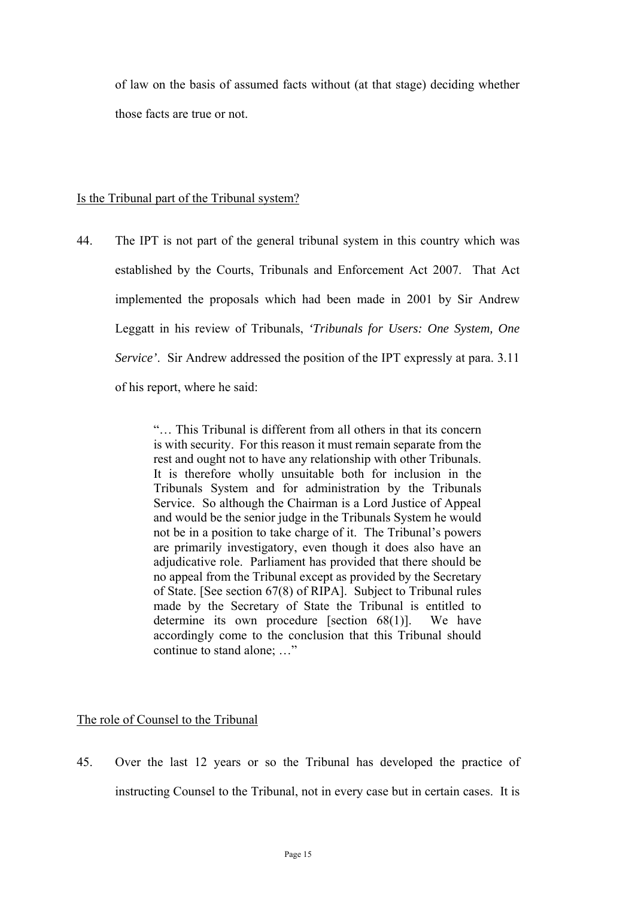of law on the basis of assumed facts without (at that stage) deciding whether those facts are true or not.

#### Is the Tribunal part of the Tribunal system?

 *Service'*. Sir Andrew addressed the position of the IPT expressly at para. 3.11 44. The IPT is not part of the general tribunal system in this country which was established by the Courts, Tribunals and Enforcement Act 2007. That Act implemented the proposals which had been made in 2001 by Sir Andrew Leggatt in his review of Tribunals, *'Tribunals for Users: One System, One*  of his report, where he said:

> rest and ought not to have any relationship with other Tribunals. adjudicative role. Parliament has provided that there should be of State. [See section 67(8) of RIPA]. Subject to Tribunal rules determine its own procedure [section  $68(1)$ ]. We have accordingly come to the conclusion that this Tribunal should "… This Tribunal is different from all others in that its concern is with security. For this reason it must remain separate from the It is therefore wholly unsuitable both for inclusion in the Tribunals System and for administration by the Tribunals Service. So although the Chairman is a Lord Justice of Appeal and would be the senior judge in the Tribunals System he would not be in a position to take charge of it. The Tribunal's powers are primarily investigatory, even though it does also have an no appeal from the Tribunal except as provided by the Secretary made by the Secretary of State the Tribunal is entitled to continue to stand alone; …"

#### The role of Counsel to the Tribunal

 instructing Counsel to the Tribunal, not in every case but in certain cases. It is 45. Over the last 12 years or so the Tribunal has developed the practice of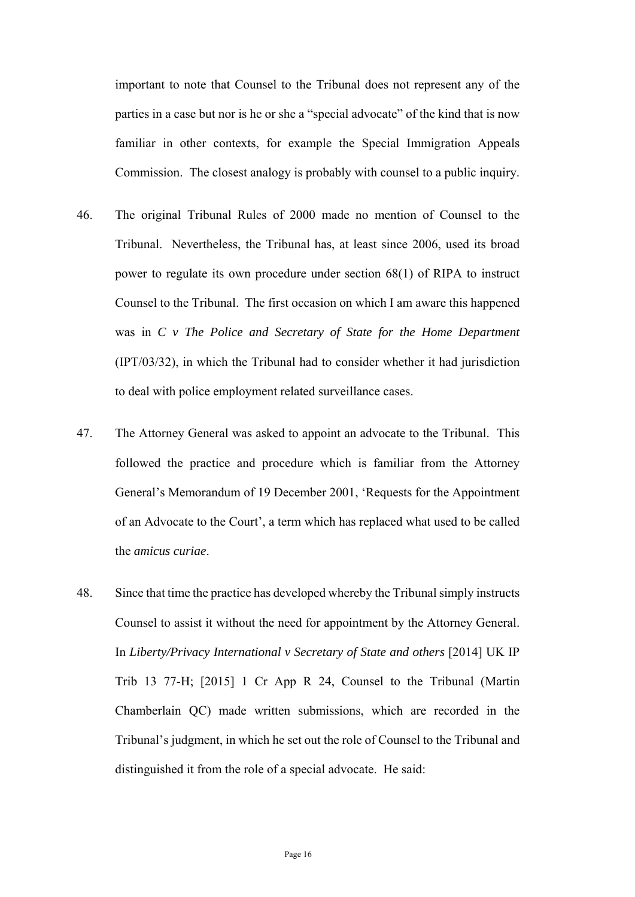familiar in other contexts, for example the Special Immigration Appeals important to note that Counsel to the Tribunal does not represent any of the parties in a case but nor is he or she a "special advocate" of the kind that is now Commission. The closest analogy is probably with counsel to a public inquiry.

- 46. The original Tribunal Rules of 2000 made no mention of Counsel to the Tribunal. Nevertheless, the Tribunal has, at least since 2006, used its broad power to regulate its own procedure under section 68(1) of RIPA to instruct Counsel to the Tribunal. The first occasion on which I am aware this happened was in *C v The Police and Secretary of State for the Home Department*  (IPT/03/32), in which the Tribunal had to consider whether it had jurisdiction to deal with police employment related surveillance cases.
- 47. The Attorney General was asked to appoint an advocate to the Tribunal. This followed the practice and procedure which is familiar from the Attorney General's Memorandum of 19 December 2001, 'Requests for the Appointment of an Advocate to the Court', a term which has replaced what used to be called the *amicus curiae*.
- Counsel to assist it without the need for appointment by the Attorney General. In *Liberty/Privacy International v Secretary of State and others* [2014] UK IP 48. Since that time the practice has developed whereby the Tribunal simply instructs Trib 13 77-H; [2015] 1 Cr App R 24, Counsel to the Tribunal (Martin Chamberlain QC) made written submissions, which are recorded in the Tribunal's judgment, in which he set out the role of Counsel to the Tribunal and distinguished it from the role of a special advocate. He said: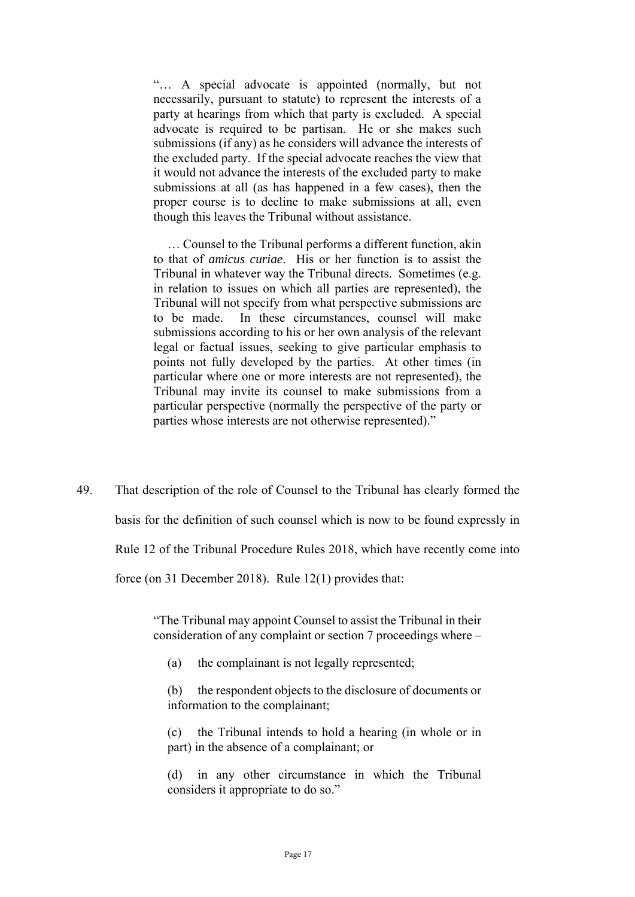necessarily, pursuant to statute) to represent the interests of a party at hearings from which that party is excluded. A special submissions (if any) as he considers will advance the interests of the excluded party. If the special advocate reaches the view that "… A special advocate is appointed (normally, but not advocate is required to be partisan. He or she makes such it would not advance the interests of the excluded party to make submissions at all (as has happened in a few cases), then the proper course is to decline to make submissions at all, even though this leaves the Tribunal without assistance.

… Counsel to the Tribunal performs a different function, akin to that of *amicus curiae*. His or her function is to assist the Tribunal in whatever way the Tribunal directs. Sometimes (e.g. in relation to issues on which all parties are represented), the Tribunal will not specify from what perspective submissions are to be made. In these circumstances, counsel will make submissions according to his or her own analysis of the relevant legal or factual issues, seeking to give particular emphasis to points not fully developed by the parties. At other times (in particular where one or more interests are not represented), the Tribunal may invite its counsel to make submissions from a particular perspective (normally the perspective of the party or parties whose interests are not otherwise represented)."

49. That description of the role of Counsel to the Tribunal has clearly formed the basis for the definition of such counsel which is now to be found expressly in Rule 12 of the Tribunal Procedure Rules 2018, which have recently come into force (on 31 December 2018). Rule 12(1) provides that:

> consideration of any complaint or section 7 proceedings where – "The Tribunal may appoint Counsel to assist the Tribunal in their

- (a) the complainant is not legally represented;
- (b) the respondent objects to the disclosure of documents or information to the complainant;

(c) the Tribunal intends to hold a hearing (in whole or in part) in the absence of a complainant; or

(d) in any other circumstance in which the Tribunal considers it appropriate to do so."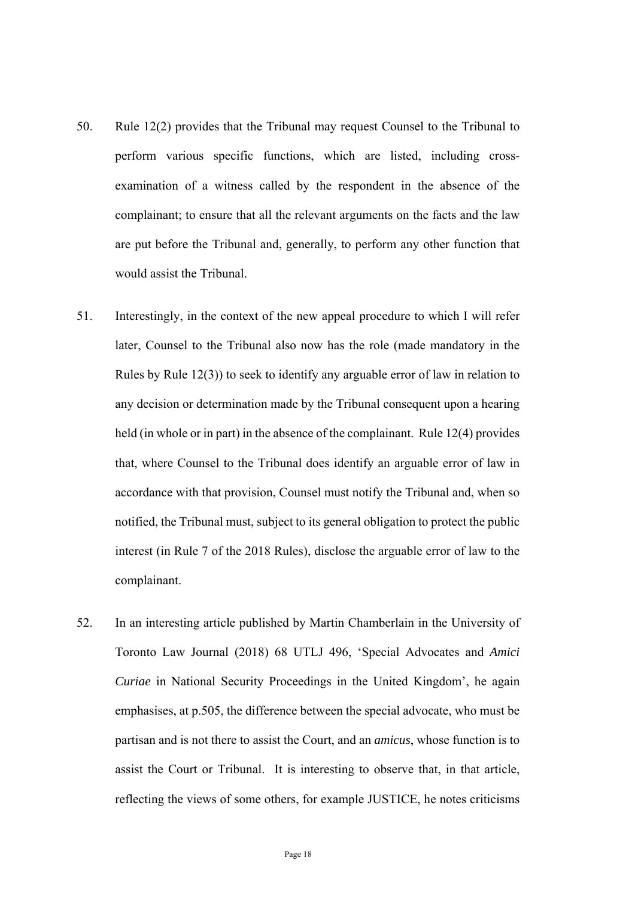- 50. Rule 12(2) provides that the Tribunal may request Counsel to the Tribunal to perform various specific functions, which are listed, including crossexamination of a witness called by the respondent in the absence of the complainant; to ensure that all the relevant arguments on the facts and the law are put before the Tribunal and, generally, to perform any other function that would assist the Tribunal.
- notified, the Tribunal must, subject to its general obligation to protect the public 51. Interestingly, in the context of the new appeal procedure to which I will refer later, Counsel to the Tribunal also now has the role (made mandatory in the Rules by Rule 12(3)) to seek to identify any arguable error of law in relation to any decision or determination made by the Tribunal consequent upon a hearing held (in whole or in part) in the absence of the complainant. Rule 12(4) provides that, where Counsel to the Tribunal does identify an arguable error of law in accordance with that provision, Counsel must notify the Tribunal and, when so interest (in Rule 7 of the 2018 Rules), disclose the arguable error of law to the complainant.
- assist the Court or Tribunal. It is interesting to observe that, in that article, 52. In an interesting article published by Martin Chamberlain in the University of Toronto Law Journal (2018) 68 UTLJ 496, 'Special Advocates and *Amici Curiae* in National Security Proceedings in the United Kingdom', he again emphasises, at p.505, the difference between the special advocate, who must be partisan and is not there to assist the Court, and an *amicus*, whose function is to reflecting the views of some others, for example JUSTICE, he notes criticisms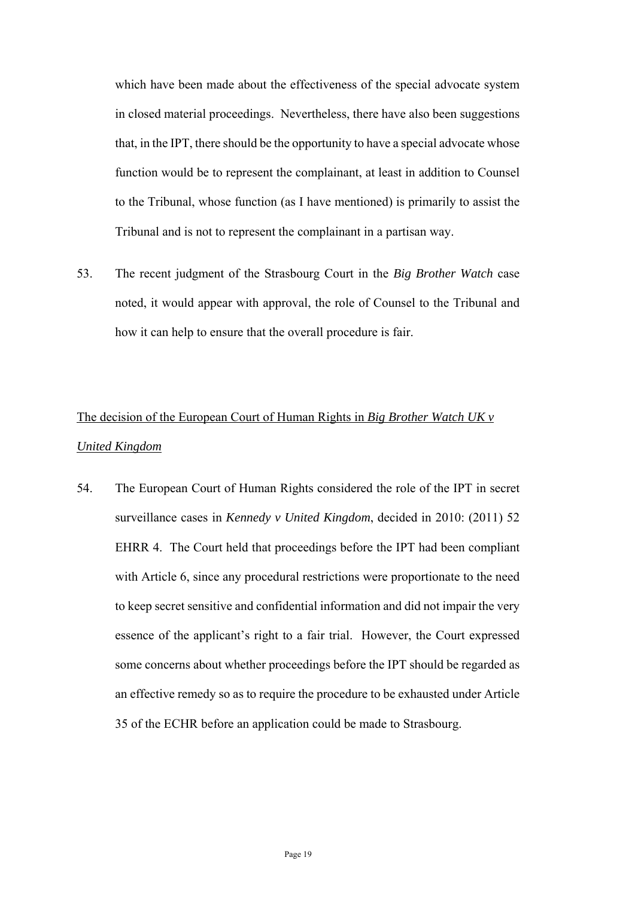which have been made about the effectiveness of the special advocate system in closed material proceedings. Nevertheless, there have also been suggestions that, in the IPT, there should be the opportunity to have a special advocate whose function would be to represent the complainant, at least in addition to Counsel to the Tribunal, whose function (as I have mentioned) is primarily to assist the Tribunal and is not to represent the complainant in a partisan way.

53. The recent judgment of the Strasbourg Court in the *Big Brother Watch* case noted, it would appear with approval, the role of Counsel to the Tribunal and how it can help to ensure that the overall procedure is fair.

# The decision of the European Court of Human Rights in *Big Brother Watch UK v United Kingdom*

 essence of the applicant's right to a fair trial. However, the Court expressed 54. The European Court of Human Rights considered the role of the IPT in secret surveillance cases in *Kennedy v United Kingdom*, decided in 2010: (2011) 52 EHRR 4. The Court held that proceedings before the IPT had been compliant with Article 6, since any procedural restrictions were proportionate to the need to keep secret sensitive and confidential information and did not impair the very some concerns about whether proceedings before the IPT should be regarded as an effective remedy so as to require the procedure to be exhausted under Article 35 of the ECHR before an application could be made to Strasbourg.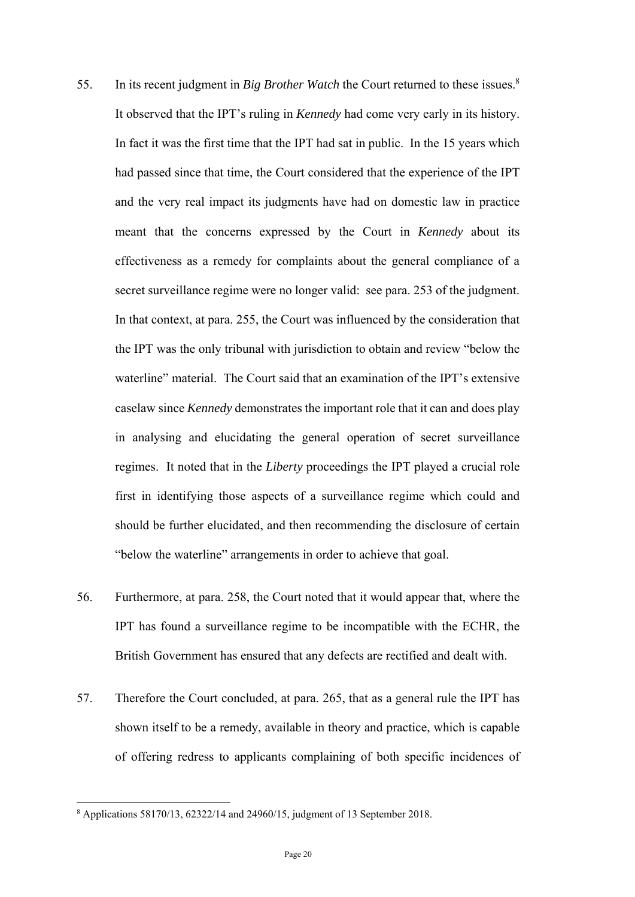- 55. In its recent judgment in *Big Brother Watch* the Court returned to these issues.<sup>8</sup> In fact it was the first time that the IPT had sat in public. In the 15 years which secret surveillance regime were no longer valid: see para. 253 of the judgment. regimes. It noted that in the *Liberty* proceedings the IPT played a crucial role It observed that the IPT's ruling in *Kennedy* had come very early in its history. had passed since that time, the Court considered that the experience of the IPT and the very real impact its judgments have had on domestic law in practice meant that the concerns expressed by the Court in *Kennedy* about its effectiveness as a remedy for complaints about the general compliance of a In that context, at para. 255, the Court was influenced by the consideration that the IPT was the only tribunal with jurisdiction to obtain and review "below the waterline" material. The Court said that an examination of the IPT's extensive caselaw since *Kennedy* demonstrates the important role that it can and does play in analysing and elucidating the general operation of secret surveillance first in identifying those aspects of a surveillance regime which could and should be further elucidated, and then recommending the disclosure of certain "below the waterline" arrangements in order to achieve that goal.
- 56. Furthermore, at para. 258, the Court noted that it would appear that, where the IPT has found a surveillance regime to be incompatible with the ECHR, the British Government has ensured that any defects are rectified and dealt with.
- 57. Therefore the Court concluded, at para. 265, that as a general rule the IPT has shown itself to be a remedy, available in theory and practice, which is capable of offering redress to applicants complaining of both specific incidences of

1

<sup>8</sup> Applications 58170/13, 62322/14 and 24960/15, judgment of 13 September 2018.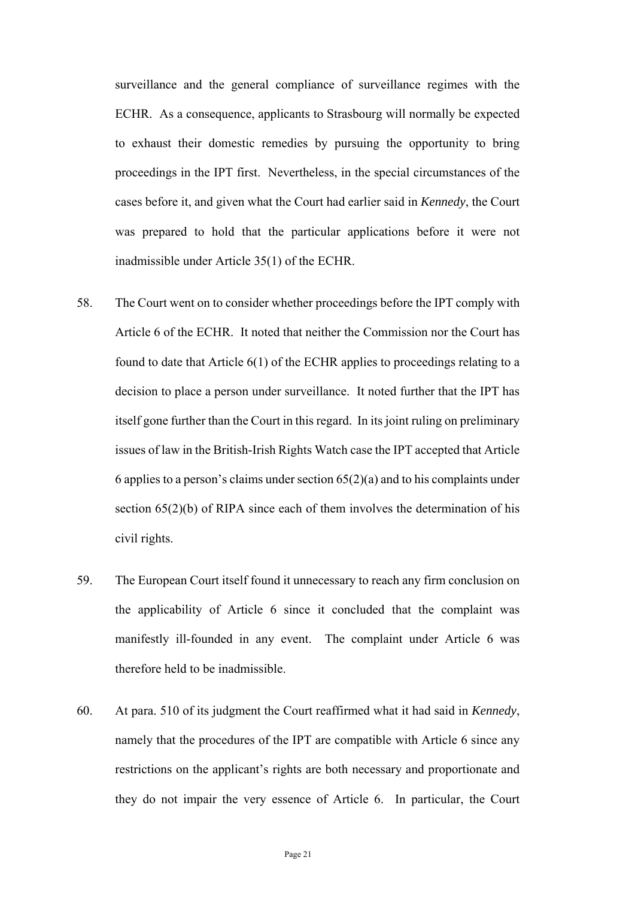ECHR. As a consequence, applicants to Strasbourg will normally be expected proceedings in the IPT first. Nevertheless, in the special circumstances of the was prepared to hold that the particular applications before it were not surveillance and the general compliance of surveillance regimes with the to exhaust their domestic remedies by pursuing the opportunity to bring cases before it, and given what the Court had earlier said in *Kennedy*, the Court inadmissible under Article 35(1) of the ECHR.

- decision to place a person under surveillance. It noted further that the IPT has issues of law in the British-Irish Rights Watch case the IPT accepted that Article section 65(2)(b) of RIPA since each of them involves the determination of his 58. The Court went on to consider whether proceedings before the IPT comply with Article 6 of the ECHR. It noted that neither the Commission nor the Court has found to date that Article 6(1) of the ECHR applies to proceedings relating to a itself gone further than the Court in this regard. In its joint ruling on preliminary 6 applies to a person's claims under section  $65(2)(a)$  and to his complaints under civil rights.
- 59. The European Court itself found it unnecessary to reach any firm conclusion on the applicability of Article 6 since it concluded that the complaint was manifestly ill-founded in any event. The complaint under Article 6 was therefore held to be inadmissible.
- 60. At para. 510 of its judgment the Court reaffirmed what it had said in *Kennedy*, namely that the procedures of the IPT are compatible with Article 6 since any restrictions on the applicant's rights are both necessary and proportionate and they do not impair the very essence of Article 6. In particular, the Court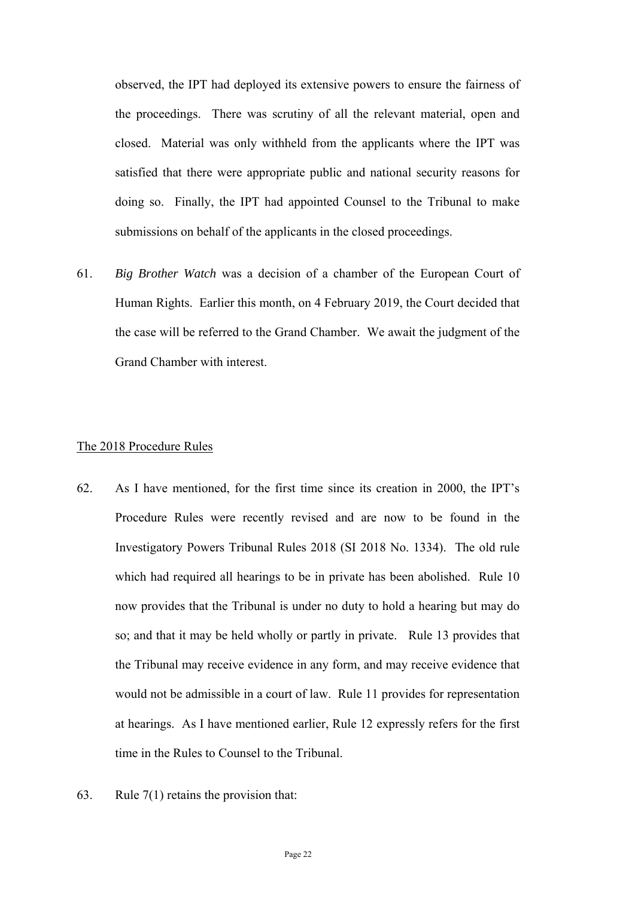satisfied that there were appropriate public and national security reasons for observed, the IPT had deployed its extensive powers to ensure the fairness of the proceedings. There was scrutiny of all the relevant material, open and closed. Material was only withheld from the applicants where the IPT was doing so. Finally, the IPT had appointed Counsel to the Tribunal to make submissions on behalf of the applicants in the closed proceedings.

 the case will be referred to the Grand Chamber. We await the judgment of the 61. *Big Brother Watch* was a decision of a chamber of the European Court of Human Rights. Earlier this month, on 4 February 2019, the Court decided that Grand Chamber with interest.

#### The 2018 Procedure Rules

- so; and that it may be held wholly or partly in private. Rule 13 provides that 62. As I have mentioned, for the first time since its creation in 2000, the IPT's Procedure Rules were recently revised and are now to be found in the Investigatory Powers Tribunal Rules 2018 (SI 2018 No. 1334). The old rule which had required all hearings to be in private has been abolished. Rule 10 now provides that the Tribunal is under no duty to hold a hearing but may do the Tribunal may receive evidence in any form, and may receive evidence that would not be admissible in a court of law. Rule 11 provides for representation at hearings. As I have mentioned earlier, Rule 12 expressly refers for the first time in the Rules to Counsel to the Tribunal.
- 63. Rule  $7(1)$  retains the provision that: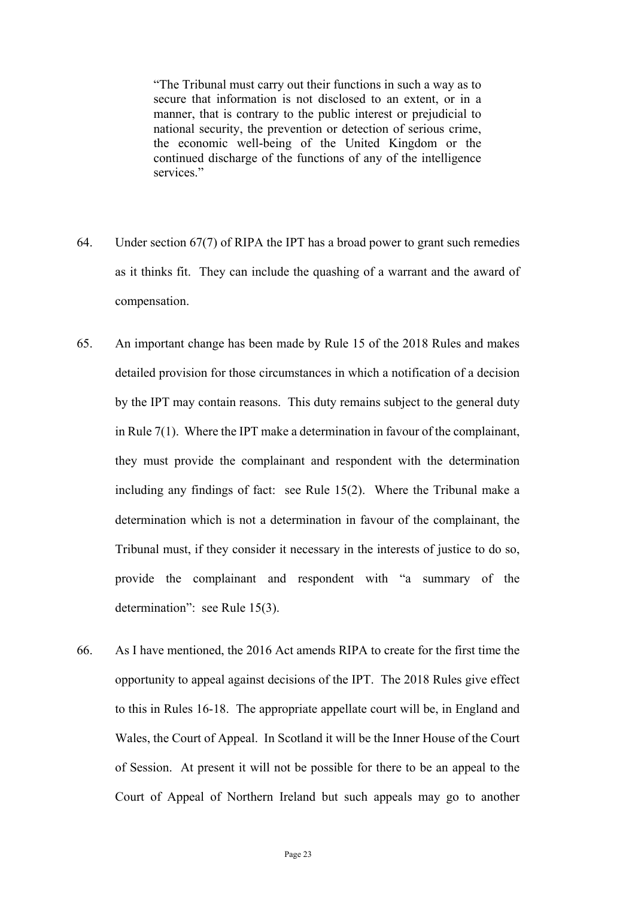secure that information is not disclosed to an extent, or in a manner, that is contrary to the public interest or prejudicial to "The Tribunal must carry out their functions in such a way as to national security, the prevention or detection of serious crime, the economic well-being of the United Kingdom or the continued discharge of the functions of any of the intelligence services."

- 64. Under section 67(7) of RIPA the IPT has a broad power to grant such remedies as it thinks fit. They can include the quashing of a warrant and the award of compensation.
- Tribunal must, if they consider it necessary in the interests of justice to do so, 65. An important change has been made by Rule 15 of the 2018 Rules and makes detailed provision for those circumstances in which a notification of a decision by the IPT may contain reasons. This duty remains subject to the general duty in Rule 7(1). Where the IPT make a determination in favour of the complainant, they must provide the complainant and respondent with the determination including any findings of fact: see Rule 15(2). Where the Tribunal make a determination which is not a determination in favour of the complainant, the provide the complainant and respondent with "a summary of the determination": see Rule 15(3).
- Wales, the Court of Appeal. In Scotland it will be the Inner House of the Court of Session. At present it will not be possible for there to be an appeal to the 66. As I have mentioned, the 2016 Act amends RIPA to create for the first time the opportunity to appeal against decisions of the IPT. The 2018 Rules give effect to this in Rules 16-18. The appropriate appellate court will be, in England and Court of Appeal of Northern Ireland but such appeals may go to another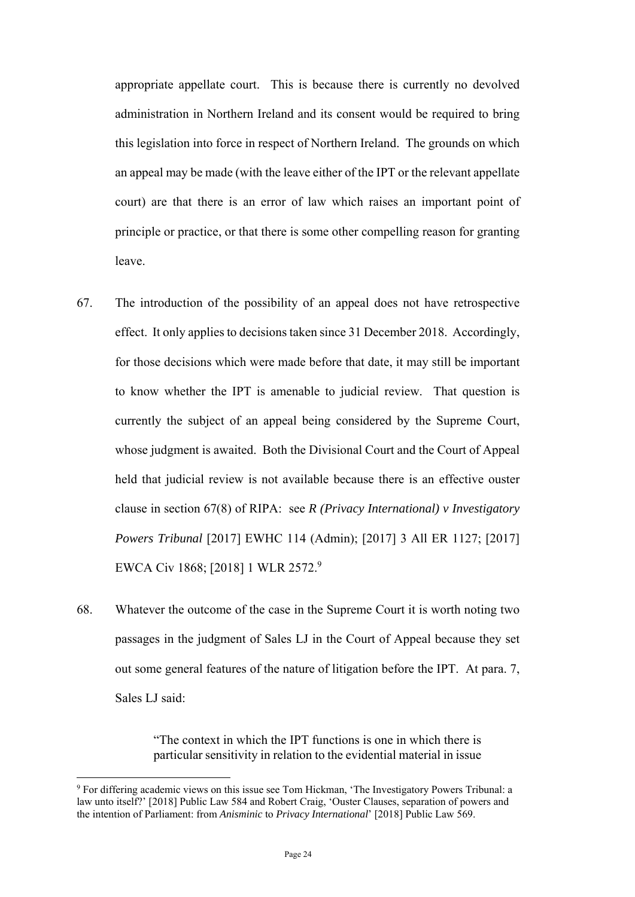appropriate appellate court. This is because there is currently no devolved this legislation into force in respect of Northern Ireland. The grounds on which administration in Northern Ireland and its consent would be required to bring an appeal may be made (with the leave either of the IPT or the relevant appellate court) are that there is an error of law which raises an important point of principle or practice, or that there is some other compelling reason for granting leave.

- 67. The introduction of the possibility of an appeal does not have retrospective for those decisions which were made before that date, it may still be important held that judicial review is not available because there is an effective ouster effect. It only applies to decisions taken since 31 December 2018. Accordingly, to know whether the IPT is amenable to judicial review. That question is currently the subject of an appeal being considered by the Supreme Court, whose judgment is awaited. Both the Divisional Court and the Court of Appeal clause in section 67(8) of RIPA: see *R (Privacy International) v Investigatory Powers Tribunal* [2017] EWHC 114 (Admin); [2017] 3 All ER 1127; [2017] EWCA Civ 1868; [2018] 1 WLR 2572.9
- 68. Whatever the outcome of the case in the Supreme Court it is worth noting two out some general features of the nature of litigation before the IPT. At para. 7, passages in the judgment of Sales LJ in the Court of Appeal because they set Sales LJ said:

"The context in which the IPT functions is one in which there is particular sensitivity in relation to the evidential material in issue

1

<sup>&</sup>lt;sup>9</sup> For differing academic views on this issue see Tom Hickman, 'The Investigatory Powers Tribunal: a law unto itself?' [2018] Public Law 584 and Robert Craig, 'Ouster Clauses, separation of powers and the intention of Parliament: from *Anisminic* to *Privacy International*' [2018] Public Law 569.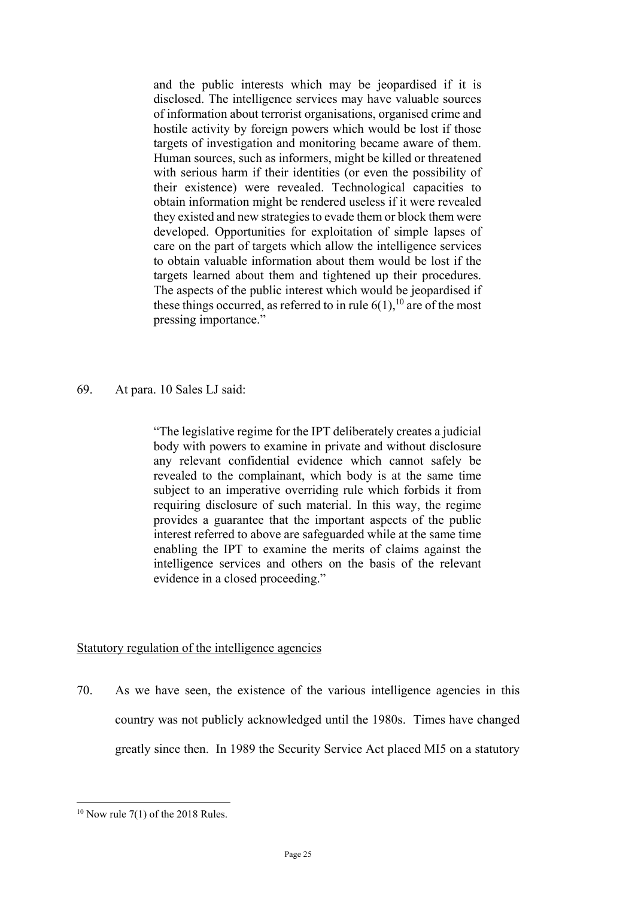and the public interests which may be jeopardised if it is with serious harm if their identities (or even the possibility of they existed and new strategies to evade them or block them were these things occurred, as referred to in rule  $6(1)$ ,<sup>10</sup> are of the most disclosed. The intelligence services may have valuable sources of information about terrorist organisations, organised crime and hostile activity by foreign powers which would be lost if those targets of investigation and monitoring became aware of them. Human sources, such as informers, might be killed or threatened their existence) were revealed. Technological capacities to obtain information might be rendered useless if it were revealed developed. Opportunities for exploitation of simple lapses of care on the part of targets which allow the intelligence services to obtain valuable information about them would be lost if the targets learned about them and tightened up their procedures. The aspects of the public interest which would be jeopardised if pressing importance."

69. At para. 10 Sales LJ said:

 revealed to the complainant, which body is at the same time enabling the IPT to examine the merits of claims against the intelligence services and others on the basis of the relevant "The legislative regime for the IPT deliberately creates a judicial body with powers to examine in private and without disclosure any relevant confidential evidence which cannot safely be subject to an imperative overriding rule which forbids it from requiring disclosure of such material. In this way, the regime provides a guarantee that the important aspects of the public interest referred to above are safeguarded while at the same time evidence in a closed proceeding."

#### Statutory regulation of the intelligence agencies

 70. As we have seen, the existence of the various intelligence agencies in this country was not publicly acknowledged until the 1980s. Times have changed greatly since then. In 1989 the Security Service Act placed MI5 on a statutory

1

 $10$  Now rule 7(1) of the 2018 Rules.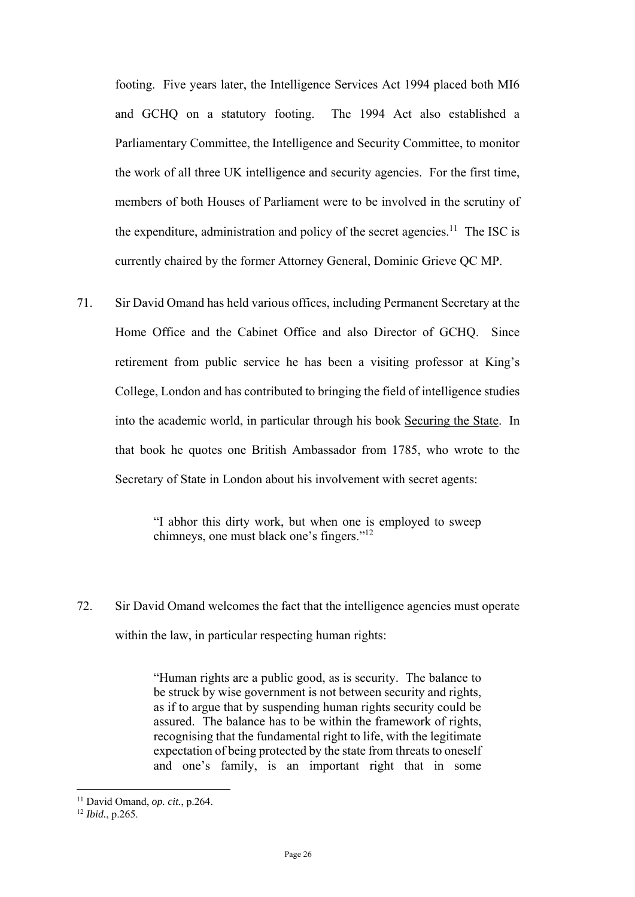footing. Five years later, the Intelligence Services Act 1994 placed both MI6 and GCHQ on a statutory footing. The 1994 Act also established a Parliamentary Committee, the Intelligence and Security Committee, to monitor the work of all three UK intelligence and security agencies. For the first time, members of both Houses of Parliament were to be involved in the scrutiny of the expenditure, administration and policy of the secret agencies.<sup>11</sup> The ISC is currently chaired by the former Attorney General, Dominic Grieve QC MP.

 Home Office and the Cabinet Office and also Director of GCHQ. Since College, London and has contributed to bringing the field of intelligence studies into the academic world, in particular through his book Securing the State. In that book he quotes one British Ambassador from 1785, who wrote to the 71. Sir David Omand has held various offices, including Permanent Secretary at the retirement from public service he has been a visiting professor at King's Secretary of State in London about his involvement with secret agents:

> "I abhor this dirty work, but when one is employed to sweep chimneys, one must black one's fingers."12

72. Sir David Omand welcomes the fact that the intelligence agencies must operate within the law, in particular respecting human rights:

> "Human rights are a public good, as is security. The balance to be struck by wise government is not between security and rights, as if to argue that by suspending human rights security could be assured. The balance has to be within the framework of rights, recognising that the fundamental right to life, with the legitimate expectation of being protected by the state from threats to oneself and one's family, is an important right that in some

<u>.</u>

<sup>11</sup> David Omand, *op. cit.*, p.264. 12 *Ibid.*, p.265.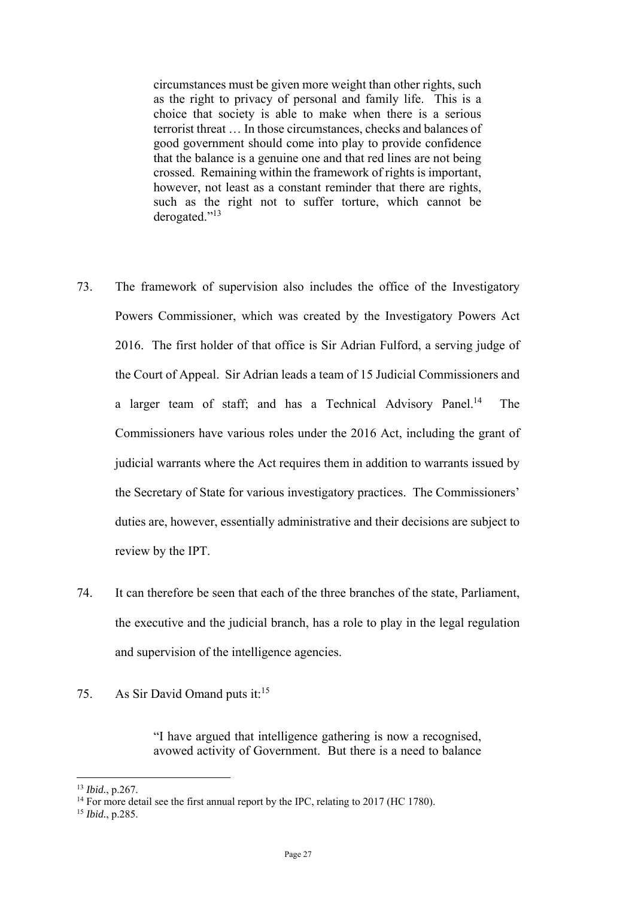terrorist threat … In those circumstances, checks and balances of circumstances must be given more weight than other rights, such as the right to privacy of personal and family life. This is a choice that society is able to make when there is a serious good government should come into play to provide confidence that the balance is a genuine one and that red lines are not being crossed. Remaining within the framework of rights is important, however, not least as a constant reminder that there are rights, such as the right not to suffer torture, which cannot be derogated."13

- 73. The framework of supervision also includes the office of the Investigatory Powers Commissioner, which was created by the Investigatory Powers Act 2016. The first holder of that office is Sir Adrian Fulford, a serving judge of the Court of Appeal. Sir Adrian leads a team of 15 Judicial Commissioners and a larger team of staff; and has a Technical Advisory Panel.<sup>14</sup> The Commissioners have various roles under the 2016 Act, including the grant of judicial warrants where the Act requires them in addition to warrants issued by the Secretary of State for various investigatory practices. The Commissioners' duties are, however, essentially administrative and their decisions are subject to review by the IPT.
- 74. It can therefore be seen that each of the three branches of the state, Parliament, the executive and the judicial branch, has a role to play in the legal regulation and supervision of the intelligence agencies.
- 75. As Sir David Omand puts it: $15$

"I have argued that intelligence gathering is now a recognised, avowed activity of Government. But there is a need to balance

1

<sup>13</sup> *Ibid.*, p.267.

 $14$  For more detail see the first annual report by the IPC, relating to 2017 (HC 1780).

<sup>15</sup> *Ibid.*, p.285.